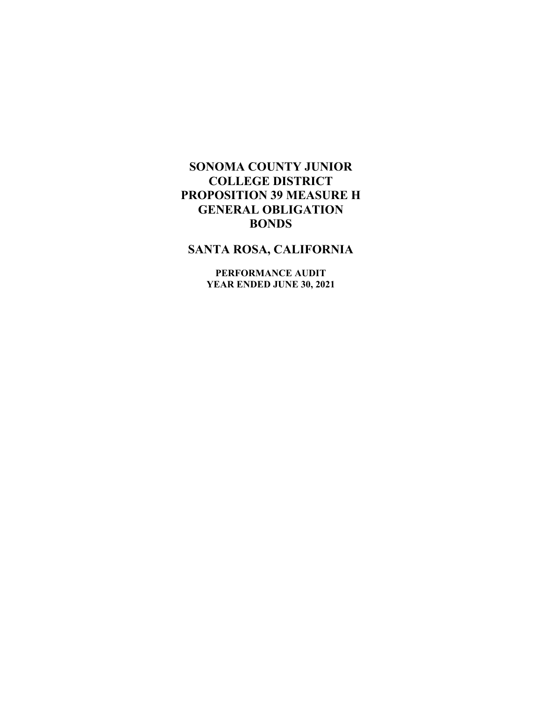## **SANTA ROSA, CALIFORNIA**

**PERFORMANCE AUDIT YEAR ENDED JUNE 30, 2021**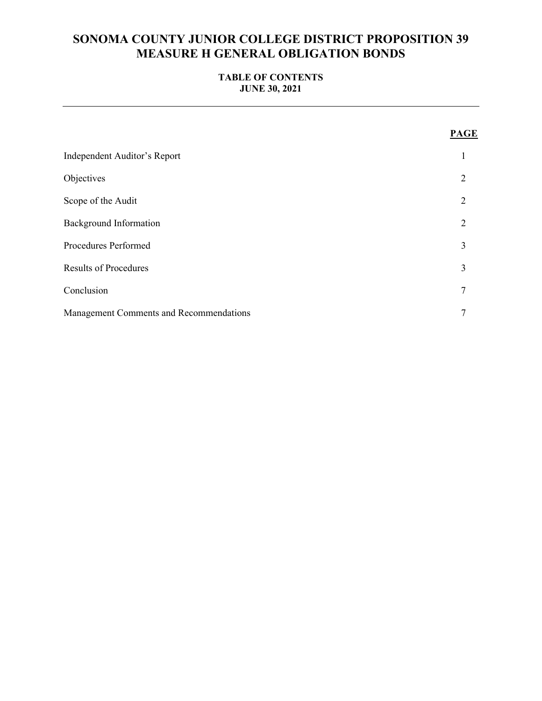## **TABLE OF CONTENTS JUNE 30, 2021**

|                                         | <b>PAGE</b>    |
|-----------------------------------------|----------------|
| Independent Auditor's Report            | 1              |
| Objectives                              | 2              |
| Scope of the Audit                      | $\overline{2}$ |
| <b>Background Information</b>           | $\overline{2}$ |
| Procedures Performed                    | 3              |
| <b>Results of Procedures</b>            | 3              |
| Conclusion                              | 7              |
| Management Comments and Recommendations | 7              |
|                                         |                |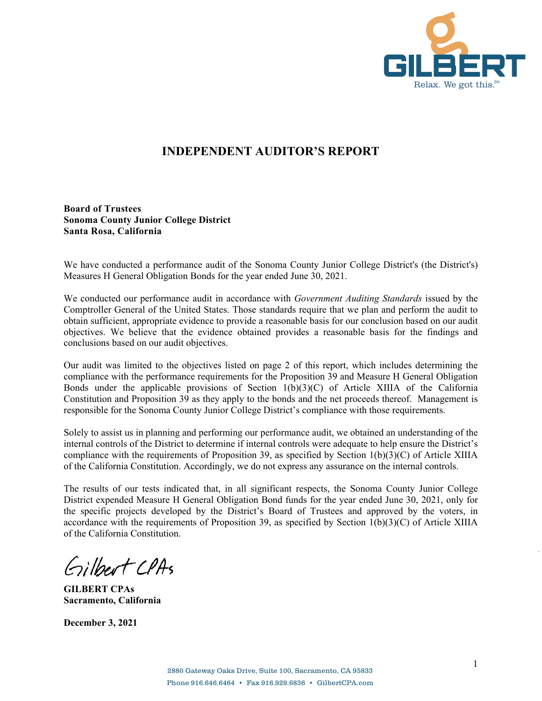

# **INDEPENDENT AUDITOR'S REPORT**

**Board of Trustees Sonoma County Junior College District Santa Rosa, California** 

We have conducted a performance audit of the Sonoma County Junior College District's (the District's) Measures H General Obligation Bonds for the year ended June 30, 2021.

We conducted our performance audit in accordance with *Government Auditing Standards* issued by the Comptroller General of the United States. Those standards require that we plan and perform the audit to obtain sufficient, appropriate evidence to provide a reasonable basis for our conclusion based on our audit objectives. We believe that the evidence obtained provides a reasonable basis for the findings and conclusions based on our audit objectives.

Our audit was limited to the objectives listed on page 2 of this report, which includes determining the compliance with the performance requirements for the Proposition 39 and Measure H General Obligation Bonds under the applicable provisions of Section 1(b)(3)(C) of Article XIIIA of the California Constitution and Proposition 39 as they apply to the bonds and the net proceeds thereof. Management is responsible for the Sonoma County Junior College District's compliance with those requirements.

Solely to assist us in planning and performing our performance audit, we obtained an understanding of the internal controls of the District to determine if internal controls were adequate to help ensure the District's compliance with the requirements of Proposition 39, as specified by Section  $1(b)(3)(C)$  of Article XIIIA of the California Constitution. Accordingly, we do not express any assurance on the internal controls.

The results of our tests indicated that, in all significant respects, the Sonoma County Junior College District expended Measure H General Obligation Bond funds for the year ended June 30, 2021, only for the specific projects developed by the District's Board of Trustees and approved by the voters, in accordance with the requirements of Proposition 39, as specified by Section  $1(b)(3)(C)$  of Article XIIIA of the California Constitution.

Gilbert CPAs

**GILBERT CPAs Sacramento, California** 

**December 3, 2021**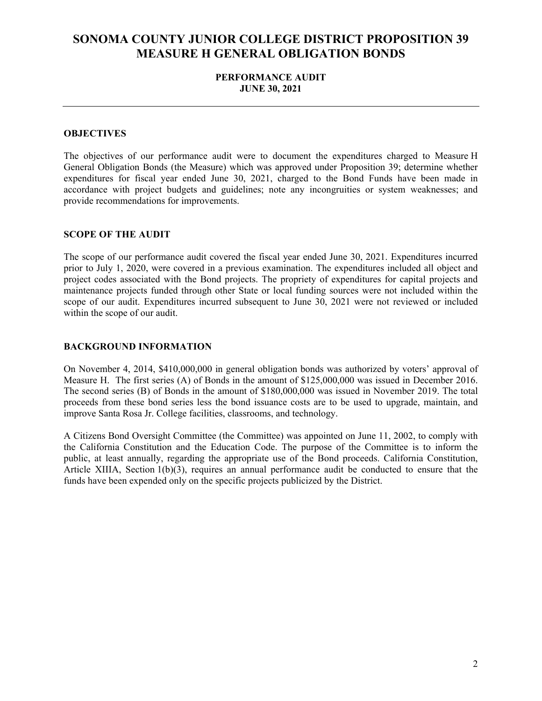### **PERFORMANCE AUDIT JUNE 30, 2021**

#### **OBJECTIVES**

The objectives of our performance audit were to document the expenditures charged to Measure H General Obligation Bonds (the Measure) which was approved under Proposition 39; determine whether expenditures for fiscal year ended June 30, 2021, charged to the Bond Funds have been made in accordance with project budgets and guidelines; note any incongruities or system weaknesses; and provide recommendations for improvements.

#### **SCOPE OF THE AUDIT**

The scope of our performance audit covered the fiscal year ended June 30, 2021. Expenditures incurred prior to July 1, 2020, were covered in a previous examination. The expenditures included all object and project codes associated with the Bond projects. The propriety of expenditures for capital projects and maintenance projects funded through other State or local funding sources were not included within the scope of our audit. Expenditures incurred subsequent to June 30, 2021 were not reviewed or included within the scope of our audit.

#### **BACKGROUND INFORMATION**

On November 4, 2014, \$410,000,000 in general obligation bonds was authorized by voters' approval of Measure H. The first series (A) of Bonds in the amount of \$125,000,000 was issued in December 2016. The second series (B) of Bonds in the amount of \$180,000,000 was issued in November 2019. The total proceeds from these bond series less the bond issuance costs are to be used to upgrade, maintain, and improve Santa Rosa Jr. College facilities, classrooms, and technology.

A Citizens Bond Oversight Committee (the Committee) was appointed on June 11, 2002, to comply with the California Constitution and the Education Code. The purpose of the Committee is to inform the public, at least annually, regarding the appropriate use of the Bond proceeds. California Constitution, Article XIIIA, Section 1(b)(3), requires an annual performance audit be conducted to ensure that the funds have been expended only on the specific projects publicized by the District.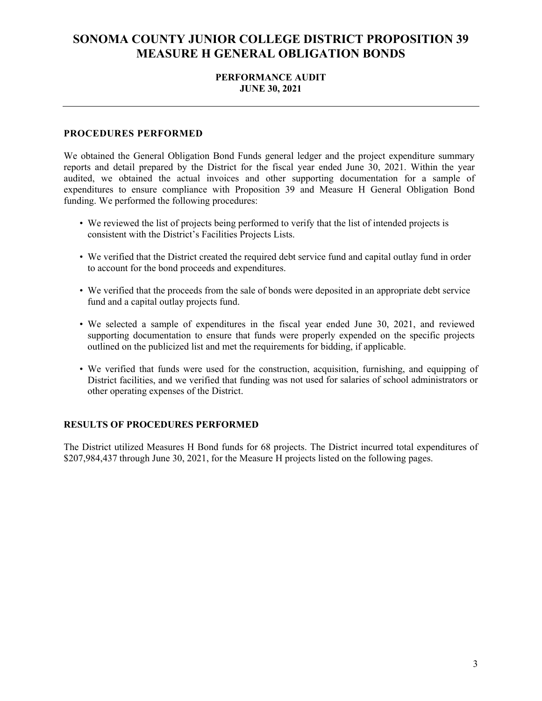### **PERFORMANCE AUDIT JUNE 30, 2021**

#### **PROCEDURES PERFORMED**

We obtained the General Obligation Bond Funds general ledger and the project expenditure summary reports and detail prepared by the District for the fiscal year ended June 30, 2021. Within the year audited, we obtained the actual invoices and other supporting documentation for a sample of expenditures to ensure compliance with Proposition 39 and Measure H General Obligation Bond funding. We performed the following procedures:

- We reviewed the list of projects being performed to verify that the list of intended projects is consistent with the District's Facilities Projects Lists.
- We verified that the District created the required debt service fund and capital outlay fund in order to account for the bond proceeds and expenditures.
- We verified that the proceeds from the sale of bonds were deposited in an appropriate debt service fund and a capital outlay projects fund.
- We selected a sample of expenditures in the fiscal year ended June 30, 2021, and reviewed supporting documentation to ensure that funds were properly expended on the specific projects outlined on the publicized list and met the requirements for bidding, if applicable.
- We verified that funds were used for the construction, acquisition, furnishing, and equipping of District facilities, and we verified that funding was not used for salaries of school administrators or other operating expenses of the District.

#### **RESULTS OF PROCEDURES PERFORMED**

The District utilized Measures H Bond funds for 68 projects. The District incurred total expenditures of \$207,984,437 through June 30, 2021, for the Measure H projects listed on the following pages.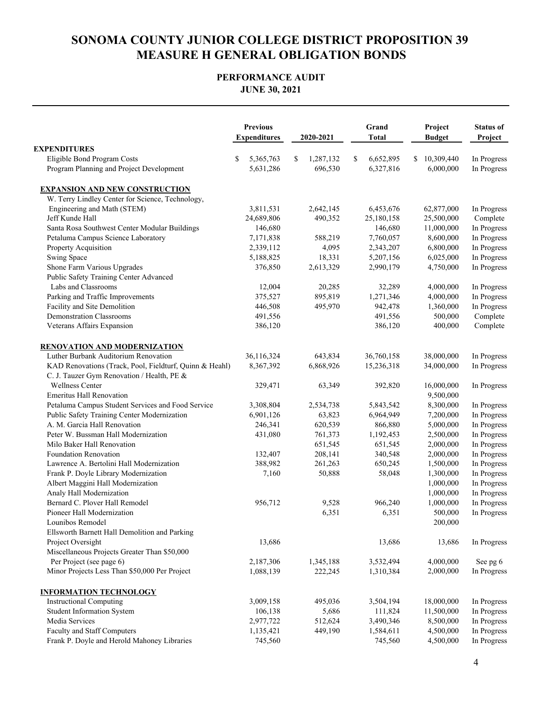## **PERFORMANCE AUDIT JUNE 30, 2021**

|                                                         | <b>Previous</b><br><b>Expenditures</b> | 2020-2021 |           | Grand<br><b>Total</b> |            | Project<br><b>Budget</b> |              | <b>Status of</b><br>Project |
|---------------------------------------------------------|----------------------------------------|-----------|-----------|-----------------------|------------|--------------------------|--------------|-----------------------------|
| <b>EXPENDITURES</b>                                     |                                        |           |           |                       |            |                          |              |                             |
| Eligible Bond Program Costs                             | \$<br>5,365,763                        | \$        | 1,287,132 | S                     | 6,652,895  |                          | \$10,309,440 | In Progress                 |
| Program Planning and Project Development                | 5,631,286                              |           | 696,530   |                       | 6,327,816  |                          | 6,000,000    | In Progress                 |
| <b>EXPANSION AND NEW CONSTRUCTION</b>                   |                                        |           |           |                       |            |                          |              |                             |
| W. Terry Lindley Center for Science, Technology,        |                                        |           |           |                       |            |                          |              |                             |
| Engineering and Math (STEM)                             | 3,811,531                              |           | 2,642,145 |                       | 6,453,676  |                          | 62,877,000   | In Progress                 |
| Jeff Kunde Hall                                         | 24,689,806                             |           | 490,352   |                       | 25,180,158 |                          | 25,500,000   | Complete                    |
| Santa Rosa Southwest Center Modular Buildings           | 146,680                                |           |           |                       | 146,680    |                          | 11,000,000   | In Progress                 |
| Petaluma Campus Science Laboratory                      | 7,171,838                              |           | 588,219   |                       | 7,760,057  |                          | 8,600,000    | In Progress                 |
| Property Acquisition                                    | 2,339,112                              |           | 4,095     |                       | 2,343,207  |                          | 6,800,000    | In Progress                 |
| Swing Space                                             | 5,188,825                              |           | 18,331    |                       | 5,207,156  |                          | 6,025,000    | In Progress                 |
| Shone Farm Various Upgrades                             | 376,850                                |           | 2,613,329 |                       | 2,990,179  |                          | 4,750,000    | In Progress                 |
| Public Safety Training Center Advanced                  |                                        |           |           |                       |            |                          |              |                             |
| Labs and Classrooms                                     | 12,004                                 |           | 20,285    |                       | 32,289     |                          | 4,000,000    | In Progress                 |
| Parking and Traffic Improvements                        | 375,527                                |           | 895,819   |                       | 1,271,346  |                          | 4,000,000    | In Progress                 |
| Facility and Site Demolition                            | 446,508                                |           | 495,970   |                       | 942,478    |                          | 1,360,000    | In Progress                 |
| <b>Demonstration Classrooms</b>                         | 491,556                                |           |           |                       | 491,556    |                          | 500,000      | Complete                    |
| Veterans Affairs Expansion                              | 386,120                                |           |           |                       | 386,120    |                          | 400,000      | Complete                    |
| <b>RENOVATION AND MODERNIZATION</b>                     |                                        |           |           |                       |            |                          |              |                             |
| Luther Burbank Auditorium Renovation                    | 36,116,324                             |           | 643,834   |                       | 36,760,158 |                          | 38,000,000   | In Progress                 |
| KAD Renovations (Track, Pool, Fieldturf, Quinn & Heahl) | 8,367,392                              |           | 6,868,926 |                       | 15,236,318 |                          | 34,000,000   | In Progress                 |
| C. J. Tauzer Gym Renovation / Health, PE &              |                                        |           |           |                       |            |                          |              |                             |
| Wellness Center                                         | 329,471                                |           | 63,349    |                       | 392,820    |                          | 16,000,000   | In Progress                 |
| <b>Emeritus Hall Renovation</b>                         |                                        |           |           |                       |            |                          | 9,500,000    |                             |
| Petaluma Campus Student Services and Food Service       | 3,308,804                              |           | 2,534,738 |                       | 5,843,542  |                          | 8,300,000    | In Progress                 |
| Public Safety Training Center Modernization             | 6,901,126                              |           | 63,823    |                       | 6,964,949  |                          | 7,200,000    | In Progress                 |
| A. M. Garcia Hall Renovation                            | 246,341                                |           | 620,539   |                       | 866,880    |                          | 5,000,000    | In Progress                 |
| Peter W. Bussman Hall Modernization                     | 431,080                                |           | 761,373   |                       | 1,192,453  |                          | 2,500,000    | In Progress                 |
| Milo Baker Hall Renovation                              |                                        |           | 651,545   |                       | 651,545    |                          | 2,000,000    | In Progress                 |
| Foundation Renovation                                   | 132,407                                |           | 208,141   |                       | 340,548    |                          | 2,000,000    | In Progress                 |
| Lawrence A. Bertolini Hall Modernization                | 388,982                                |           | 261,263   |                       | 650,245    |                          | 1,500,000    | In Progress                 |
| Frank P. Doyle Library Modernization                    | 7,160                                  |           | 50,888    |                       | 58,048     |                          | 1,300,000    | In Progress                 |
| Albert Maggini Hall Modernization                       |                                        |           |           |                       |            |                          | 1,000,000    | In Progress                 |
| Analy Hall Modernization                                |                                        |           |           |                       |            |                          | 1,000,000    | In Progress                 |
| Bernard C. Plover Hall Remodel                          | 956,712                                |           | 9,528     |                       | 966,240    |                          | 1,000,000    | In Progress                 |
| Pioneer Hall Modernization                              |                                        |           | 6,351     |                       | 6,351      |                          | 500,000      | In Progress                 |
| Lounibos Remodel                                        |                                        |           |           |                       |            |                          | 200,000      |                             |
| Ellsworth Barnett Hall Demolition and Parking           |                                        |           |           |                       |            |                          |              |                             |
| Project Oversight                                       | 13,686                                 |           |           |                       | 13,686     |                          | 13,686       | In Progress                 |
| Miscellaneous Projects Greater Than \$50,000            |                                        |           |           |                       |            |                          |              |                             |
| Per Project (see page 6)                                | 2,187,306                              |           | 1,345,188 |                       | 3,532,494  |                          | 4,000,000    | See pg 6                    |
| Minor Projects Less Than \$50,000 Per Project           | 1,088,139                              |           | 222,245   |                       | 1,310,384  |                          | 2,000,000    | In Progress                 |
| <b>INFORMATION TECHNOLOGY</b>                           |                                        |           |           |                       |            |                          |              |                             |
| <b>Instructional Computing</b>                          | 3,009,158                              |           | 495,036   |                       | 3,504,194  |                          | 18,000,000   | In Progress                 |
| <b>Student Information System</b>                       | 106,138                                |           | 5,686     |                       | 111,824    |                          | 11,500,000   | In Progress                 |
| Media Services                                          | 2,977,722                              |           | 512,624   |                       | 3,490,346  |                          | 8,500,000    | In Progress                 |
| Faculty and Staff Computers                             | 1,135,421                              |           | 449,190   |                       | 1,584,611  |                          | 4,500,000    | In Progress                 |
| Frank P. Doyle and Herold Mahoney Libraries             | 745,560                                |           |           |                       | 745,560    |                          | 4,500,000    | In Progress                 |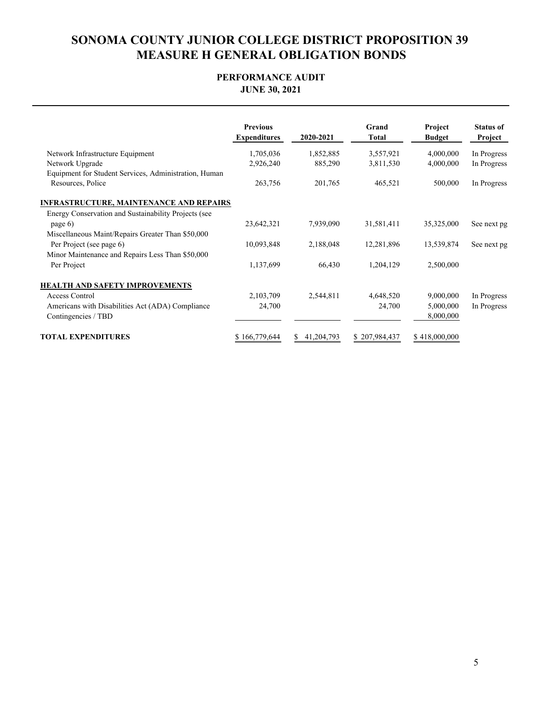## **PERFORMANCE AUDIT JUNE 30, 2021**

|                                                       | <b>Previous</b><br><b>Expenditures</b> | 2020-2021  | Grand<br><b>Total</b> | Project<br><b>Budget</b> | <b>Status of</b><br>Project |
|-------------------------------------------------------|----------------------------------------|------------|-----------------------|--------------------------|-----------------------------|
| Network Infrastructure Equipment                      | 1,705,036                              | 1,852,885  | 3,557,921             | 4,000,000                | In Progress                 |
| Network Upgrade                                       | 2,926,240                              | 885,290    | 3,811,530             | 4,000,000                | In Progress                 |
| Equipment for Student Services, Administration, Human |                                        |            |                       |                          |                             |
| Resources, Police                                     | 263,756                                | 201,765    | 465,521               | 500,000                  | In Progress                 |
| <b>INFRASTRUCTURE, MAINTENANCE AND REPAIRS</b>        |                                        |            |                       |                          |                             |
| Energy Conservation and Sustainability Projects (see  |                                        |            |                       |                          |                             |
| page 6)                                               | 23,642,321                             | 7,939,090  | 31,581,411            | 35,325,000               | See next pg                 |
| Miscellaneous Maint/Repairs Greater Than \$50,000     |                                        |            |                       |                          |                             |
| Per Project (see page 6)                              | 10,093,848                             | 2,188,048  | 12,281,896            | 13,539,874               | See next pg                 |
| Minor Maintenance and Repairs Less Than \$50,000      |                                        |            |                       |                          |                             |
| Per Project                                           | 1,137,699                              | 66,430     | 1,204,129             | 2,500,000                |                             |
| <b>HEALTH AND SAFETY IMPROVEMENTS</b>                 |                                        |            |                       |                          |                             |
| Access Control                                        | 2,103,709                              | 2,544,811  | 4,648,520             | 9,000,000                | In Progress                 |
| Americans with Disabilities Act (ADA) Compliance      | 24,700                                 |            | 24,700                | 5,000,000                | In Progress                 |
| Contingencies / TBD                                   |                                        |            |                       | 8,000,000                |                             |
| <b>TOTAL EXPENDITURES</b>                             | 166,779,644<br>S.                      | 41,204,793 | \$207,984,437         | \$418,000,000            |                             |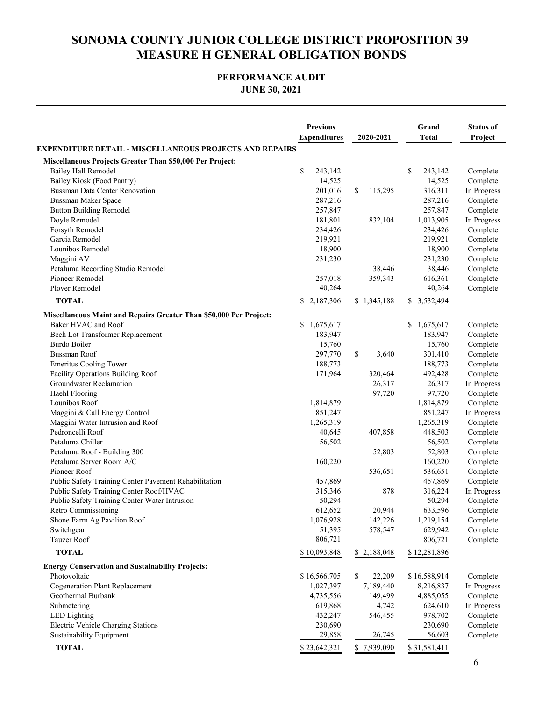## **PERFORMANCE AUDIT JUNE 30, 2021**

|                                                                    | <b>Previous</b><br><b>Expenditures</b> | 2020-2021     | Grand<br><b>Total</b> | <b>Status of</b><br><b>Project</b> |
|--------------------------------------------------------------------|----------------------------------------|---------------|-----------------------|------------------------------------|
| <b>EXPENDITURE DETAIL - MISCELLANEOUS PROJECTS AND REPAIRS</b>     |                                        |               |                       |                                    |
| Miscellaneous Projects Greater Than \$50,000 Per Project:          |                                        |               |                       |                                    |
| <b>Bailey Hall Remodel</b>                                         | \$<br>243,142                          |               | \$<br>243,142         | Complete                           |
| Bailey Kiosk (Food Pantry)                                         | 14,525                                 |               | 14,525                | Complete                           |
| <b>Bussman Data Center Renovation</b>                              | 201,016                                | \$<br>115,295 | 316,311               | In Progress                        |
| Bussman Maker Space                                                | 287,216                                |               | 287,216               | Complete                           |
| <b>Button Building Remodel</b>                                     | 257,847                                |               | 257,847               | Complete                           |
| Doyle Remodel                                                      | 181,801                                | 832,104       | 1,013,905             | In Progress                        |
| Forsyth Remodel                                                    | 234,426                                |               | 234,426               | Complete                           |
| Garcia Remodel                                                     | 219,921                                |               | 219,921               | Complete                           |
| Lounibos Remodel                                                   | 18,900                                 |               | 18,900                | Complete                           |
| Maggini AV                                                         | 231,230                                |               | 231,230               | Complete                           |
| Petaluma Recording Studio Remodel                                  |                                        | 38,446        | 38,446                | Complete                           |
| Pioneer Remodel                                                    | 257,018                                | 359,343       | 616,361               | Complete                           |
| Plover Remodel                                                     | 40,264                                 |               | 40,264                | Complete                           |
| <b>TOTAL</b>                                                       | 2,187,306                              | \$1,345,188   | \$<br>3,532,494       |                                    |
|                                                                    |                                        |               |                       |                                    |
| Miscellaneous Maint and Repairs Greater Than \$50,000 Per Project: |                                        |               |                       |                                    |
| Baker HVAC and Roof                                                | 1,675,617<br>\$                        |               | 1,675,617<br>\$       | Complete                           |
| Bech Lot Transformer Replacement                                   | 183,947                                |               | 183,947               | Complete                           |
| Burdo Boiler                                                       | 15,760                                 |               | 15,760                | Complete                           |
| <b>Bussman Roof</b>                                                | 297,770                                | \$<br>3,640   | 301,410               | Complete                           |
| <b>Emeritus Cooling Tower</b>                                      | 188,773                                |               | 188,773               | Complete                           |
| Facility Operations Building Roof                                  | 171,964                                | 320,464       | 492,428               | Complete                           |
| Groundwater Reclamation                                            |                                        | 26,317        | 26,317                | In Progress                        |
| Haehl Flooring                                                     |                                        | 97,720        | 97,720                | Complete                           |
| Lounibos Roof                                                      | 1,814,879                              |               | 1,814,879             | Complete                           |
| Maggini & Call Energy Control                                      | 851,247                                |               | 851,247               | In Progress                        |
| Maggini Water Intrusion and Roof                                   | 1,265,319                              |               | 1,265,319             | Complete                           |
| Pedroncelli Roof                                                   | 40,645                                 | 407,858       | 448,503               | Complete                           |
| Petaluma Chiller                                                   | 56,502                                 |               | 56,502                | Complete                           |
| Petaluma Roof - Building 300                                       |                                        | 52,803        | 52,803                | Complete                           |
| Petaluma Server Room A/C                                           | 160,220                                |               | 160,220               | Complete                           |
| Pioneer Roof                                                       |                                        | 536,651       | 536,651               | Complete                           |
| Public Safety Training Center Pavement Rehabilitation              | 457,869                                |               | 457,869               | Complete                           |
| Public Safety Training Center Roof/HVAC                            | 315,346                                | 878           | 316,224               | In Progress                        |
| Public Safety Training Center Water Intrusion                      | 50,294                                 |               | 50,294                | Complete                           |
| Retro Commissioning                                                | 612,652                                | 20,944        | 633,596               | Complete                           |
| Shone Farm Ag Pavilion Roof                                        | 1,076,928                              | 142,226       | 1,219,154             | Complete                           |
| Switchgear                                                         | 51,395                                 | 578,547       | 629,942               | Complete                           |
| Tauzer Roof                                                        | 806,721                                |               | 806,721               | Complete                           |
| <b>TOTAL</b>                                                       | \$10,093,848                           | \$2,188,048   | \$12,281,896          |                                    |
| <b>Energy Conservation and Sustainability Projects:</b>            |                                        |               |                       |                                    |
| Photovoltaic                                                       | \$16,566,705                           | \$<br>22,209  | \$16,588,914          | Complete                           |
| <b>Cogeneration Plant Replacement</b>                              | 1,027,397                              | 7,189,440     | 8,216,837             | In Progress                        |
| Geothermal Burbank                                                 | 4,735,556                              | 149,499       | 4,885,055             | Complete                           |
| Submetering                                                        | 619,868                                | 4,742         | 624,610               | In Progress                        |
| <b>LED</b> Lighting                                                | 432,247                                | 546,455       | 978,702               | Complete                           |
| Electric Vehicle Charging Stations                                 | 230,690                                |               | 230,690               | Complete                           |
| Sustainability Equipment                                           | 29,858                                 | 26,745        | 56,603                | Complete                           |
| <b>TOTAL</b>                                                       | \$23,642,321                           | \$7,939,090   | \$31,581,411          |                                    |